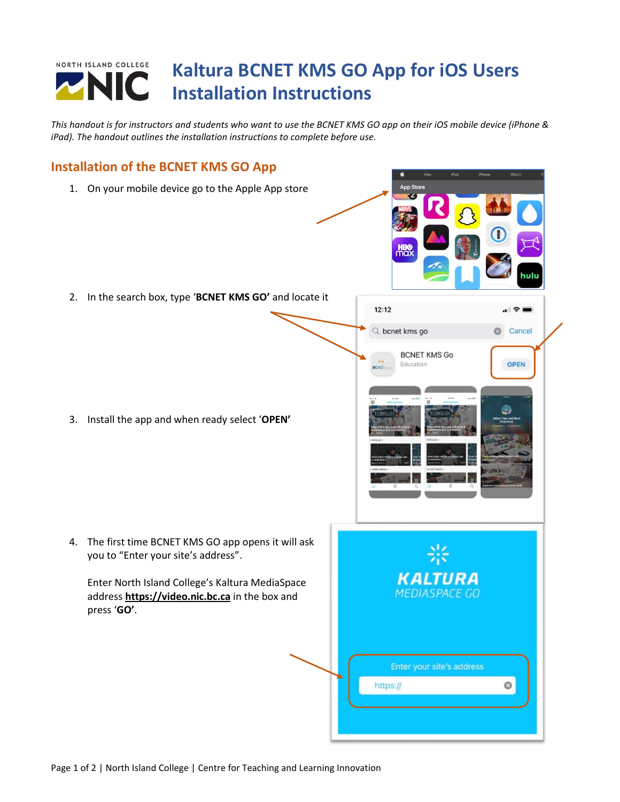## NORTH ISLAND COLLEGE **Kaltura BCNET KMS GO App for iOS Users** NIC **Installation Instructions**

*This handout is for instructors and students who want to use the BCNET KMS GO app on their iOS mobile device (iPhone & iPad). The handout outlines the installation instructions to complete before use.*

## **Installation of the BCNET KMS GO App** 1. On your mobile device go to the Apple App store 2. In the search box, type '**BCNET KMS GO'** and locate it  $12:12$  $\blacksquare$   $\widehat{\tau}$   $\blacksquare$ Q bcnet kms go Cancel **BCNET KMS Go** OPEN Education 3. Install the app and when ready select '**OPEN'** 4. The first time BCNET KMS GO app opens it will ask you to "Enter your site's address". KALTURA Enter North Island College's Kaltura MediaSpace **MEDIASPACE GO** address **[https://video.nic.bc.ca](https://video.nic.bc.ca/)** in the box and press '**GO'**.Enter your site's address Ø https://